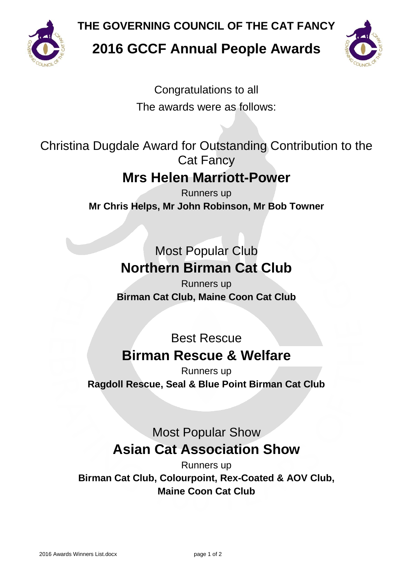

**THE GOVERNING COUNCIL OF THE CAT FANCY**

**2016 GCCF Annual People Awards**



Congratulations to all The awards were as follows:

Christina Dugdale Award for Outstanding Contribution to the Cat Fancy

## **Mrs Helen Marriott-Power**

Runners up **Mr Chris Helps, Mr John Robinson, Mr Bob Towner**

> Most Popular Club **Northern Birman Cat Club**

Runners up **Birman Cat Club, Maine Coon Cat Club**

### Best Rescue **Birman Rescue & Welfare**

Runners up **Ragdoll Rescue, Seal & Blue Point Birman Cat Club**

## Most Popular Show **Asian Cat Association Show**

Runners up **Birman Cat Club, Colourpoint, Rex-Coated & AOV Club, Maine Coon Cat Club**